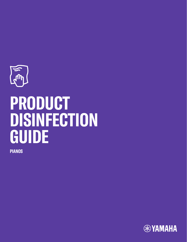

# **PRODUCT DISINFECTION GUIDE**

**PIANOS**

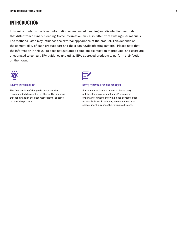# **INTRODUCTION**

This guide contains the latest information on enhanced cleaning and disinfection methods that differ from ordinary cleaning. Some information may also differ from existing user manuals. The methods listed may influence the external appearance of the product. This depends on the compatibility of each product part and the cleaning/disinfecting material. Please note that the information in this guide does not guarantee complete disinfection of products, and users are encouraged to consult EPA guidance and utilize EPA-approved products to perform disinfection on their own.



#### **HOW TO USE THIS GUIDE**

The first section of this guide describes the recommended disinfection methods. The sections that follow assign the best method(s) for specific parts of the product.



#### **NOTES FOR RETAILERS AND SCHOOLS**

For demonstration instruments, please carry out disinfection after each use. Please avoid sharing instruments involving close contacts such as mouthpieces. In schools, we recommend that each student purchase their own mouthpiece.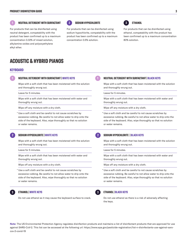## **1 2 3 NEUTRAL DETERGENT WITH SURFACTANT SODIUM HYPOCHLORITE ETHANOL**

For products that can be disinfected using neutral detergent, compatability with the product has been confirmed up to a maximum concentration 0.32% of mixed solution, alkylamine oxides and polyoxyethylene alkyl ether.



For products that can be disinfected using sodium hypochlorite, compatability with the product has been confirmed up to a maximum concentration 0.5% solution.



For products that can be disinfected using ethanol, compatability with the product has been confirmed up to a maximum concentration 80% solution.

# **ACOUSTIC & HYBRID PIANOS**

#### **KEYBOARD**

#### **NEUTRAL DETERGENT WITH SURFACTANT | WHITE KEYS 1 1**

Wipe with a soft cloth that has been moistened with the solution and thoroughly wrung out.

Leave for 5 minutes.

Wipe with a soft cloth that has been moistened with water and thoroughly wrung out.

Wipe off any moisture with a dry cloth.

\* Use a soft cloth and be careful to not cause scratches by excessive rubbing. Be careful to not allow water to drip onto the side of the keyboard. Also, wipe thoroughly so that no solution or water remains.

#### **SODIUM HYPOCHLORITE | WHITE KEYS 2 2**

Wipe with a soft cloth that has been moistened with the solution and thoroughly wrung out.

Leave for 5 minutes.

Wipe with a soft cloth that has been moistened with water and thoroughly wrung out.

Wipe off any moisture with a dry cloth.

\* Use a soft cloth and be careful to not cause scratches by excessive rubbing. Be careful to not allow water to drip onto the side of the keyboard. Also, wipe thoroughly so that no solution or water remains.

#### **ETHANOL | WHITE KEYS 3 3**

Do not use ethanol as it may cause the keyboard surface to crack.

**NEUTRAL DETERGENT WITH SURFACTANT | BLACK KEYS**

Wipe with a soft cloth that has been moistened with the solution and thoroughly wrung out.

Leave for 5 minutes.

Wipe with a soft cloth that has been moistened with water and thoroughly wrung out.

Wipe off any moisture with a dry cloth.

\* Use a soft cloth and be careful to not cause scratches by excessive rubbing. Be careful to not allow water to drip onto the side of the keyboard. Also, wipe thoroughly so that no solution or water remains.

#### **SODIUM HYPOCHLORITE | BLACK KEYS**

Wipe with a soft cloth that has been moistened with the solution and thoroughly wrung out.

Leave for 5 minutes.

Wipe with a soft cloth that has been moistened with water and thoroughly wrung out.

Wipe off any moisture with a dry cloth.

\* Use a soft cloth and be careful to not cause scratches by excessive rubbing. Be careful to not allow water to drip onto the side of the keyboard. Also, wipe thoroughly so that no solution or water remains.



#### **ETHANOL | BLACK KEYS**

Do not use ethanol as there is a risk of adversely affecting the keys.

**Note**: The US Environmental Protection Agency regulates disinfection products and maintains a list of disinfectant products that are approved for use against SARS-CoV-2. This list can be accessed at the following url: https://www.epa.gov/pesticide-registration/list-n-disinfectants-use-against-sarscov-2-covid-19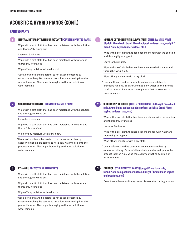## **ACOUSTIC & HYBRID PIANOS (CONT.)**

#### **PAINTED PARTS**

Wipe with a soft cloth that has been moistened with the solution and thoroughly wrung out.

Leave for 5 minutes.

Wipe with a soft cloth that has been moistened with water and thoroughly wrung out.

Wipe off any moisture with a dry cloth.

\* Use a soft cloth and be careful to not cause scratches by excessive rubbing. Be careful to not allow water to drip into the product interior. Also, wipe thoroughly so that no solution or water remains.

#### **SODIUM HYPOCHLORITE | POLYESTER PAINTED PARTS 2 2**

Wipe with a soft cloth that has been moistened with the solution and thoroughly wrung out.

Leave for 5 minutes.

Wipe with a soft cloth that has been moistened with water and thoroughly wrung out.

Wipe off any moisture with a dry cloth.

\* Use a soft cloth and be careful to not cause scratches by excessive rubbing. Be careful to not allow water to drip into the product interior. Also, wipe thoroughly so that no solution or water remains.

#### **ETHANOL | POLYESTER PAINTED PARTS 3 3**

Wipe with a soft cloth that has been moistened with the solution and thoroughly wrung out.

Wipe with a soft cloth that has been moistened with water and thoroughly wrung out.

Wipe off any moisture with a dry cloth.

\* Use a soft cloth and be careful to not cause scratches by excessive rubbing. Be careful to not allow water to drip into the product interior. Also, wipe thoroughly so that no solution or water remains.

#### **NEUTRAL DETERGENT WITH SURFACTANT | POLYESTER PAINTED PARTS 1 NEUTRAL DETERGENT WITH SURFACTANT | OTHER PAINTED PARTS (Upright Piano back, Grand Piano backpost undersurface, upright / Grand Piano keybed undersurface, etc.)**

Wipe with a soft cloth that has been moistened with the solution and thoroughly wrung out.

Leave for 5 minutes.

Wipe with a soft cloth that has been moistened with water and thoroughly wrung out.

Wipe off any moisture with a dry cloth.

\* Use a soft cloth and be careful to not cause scratches by excessive rubbing. Be careful to not allow water to drip into the product interior. Also, wipe thoroughly so that no solution or water remains.

**1**

**SODIUM HYPOCHLORITE | OTHER PAINTED PARTS (Upright Piano back side, Grand Piano backpost undersurface, upright / Grand Piano keybed undersurface, etc.)**

Wipe with a soft cloth that has been moistened with the solution and thoroughly wrung out.

Leave for 5 minutes.

Wipe with a soft cloth that has been moistened with water and thoroughly wrung out.

Wipe off any moisture with a dry cloth.

\* Use a soft cloth and be careful to not cause scratches by excessive rubbing. Be careful to not allow water to drip into the product interior. Also, wipe thoroughly so that no solution or water remains.

### **ETHANOL | OTHER PAINTED PARTS (Upright Piano back side, Grand Piano backpost undersurface, Upright / Grand Piano keybed undersurface, etc.)**

Do not use ethanol as it may cause discoloration or degradation.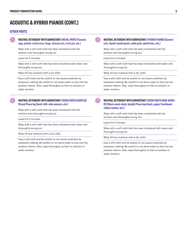#### **5**

# **ACOUSTIC & HYBRID PIANOS (CONT.)**

#### **OTHER PARTS**

#### **NEUTRAL DETERGENT WITH SURFACTANT | METAL PARTS (Yamaha logo, pedals–metal area, hinge, balance pin, front pin, etc.)**

Wipe with a soft cloth that has been moistened with the solution and thoroughly wrung out.

Leave for 5 minutes.

Wipe with a soft cloth that has been moistened with water and thoroughly wrung out.

Wipe off any moisture with a dry cloth.

\* Use a soft cloth and be careful to not cause scratches by excessive rubbing. Be careful to not allow water to drip into the product interior. Also, wipe thoroughly so that no solution or water remains.

### **NEUTRAL DETERGENT WITH SURFACTANT | RESIN PARTS (ACRYLIC) (Grand Piano leg block–L&S–side veneers, etc.)**

Wipe with a soft cloth that has been moistened with the solution and thoroughly wrung out.

Leave for 5 minutes.

Wipe with a soft cloth that has been moistened with water and thoroughly wrung out.

Wipe off any moisture with a dry cloth.

\* Use a soft cloth and be careful to not cause scratches by excessive rubbing. Be careful to not allow water to drip into the product interior. Also, wipe thoroughly so that no solution or water remains.

#### **NEUTRAL DETERGENT WITH SURFACTANT | HYBRID PIANOS (Control unit, liquid crystal panel, cable jack, switch box, etc.)**

Wipe with a soft cloth that has been moistened with the solution and thoroughly wrung out.

Leave for 5 minutes.

**1**

**1**

Wipe with a soft cloth that has been moistened with water and thoroughly wrung out.

Wipe off any moisture with a dry cloth.

\* Use a soft cloth and be careful to not cause scratches by excessive rubbing. Be careful to not allow water to drip into the product interior. Also, wipe thoroughly so that no solution or water remains.

**NEUTRAL DETERGENT WITH SURFACTANT | RESIN PARTS (NON-ACRYL-IC) (Resin music desk, Upright Piano key block, upper frontboard rubber button, etc.)**

Wipe with a soft cloth that has been moistened with the solution and thoroughly wrung out.

Leave for 5 minutes.

Wipe with a soft cloth that has been moistened with water and thoroughly wrung out.

Wipe off any moisture with a dry cloth.

\* Use a soft cloth and be careful to not cause scratches by excessive rubbing. Be careful to not allow water to drip into the product interior. Also, wipe thoroughly so that no solution or water remains.